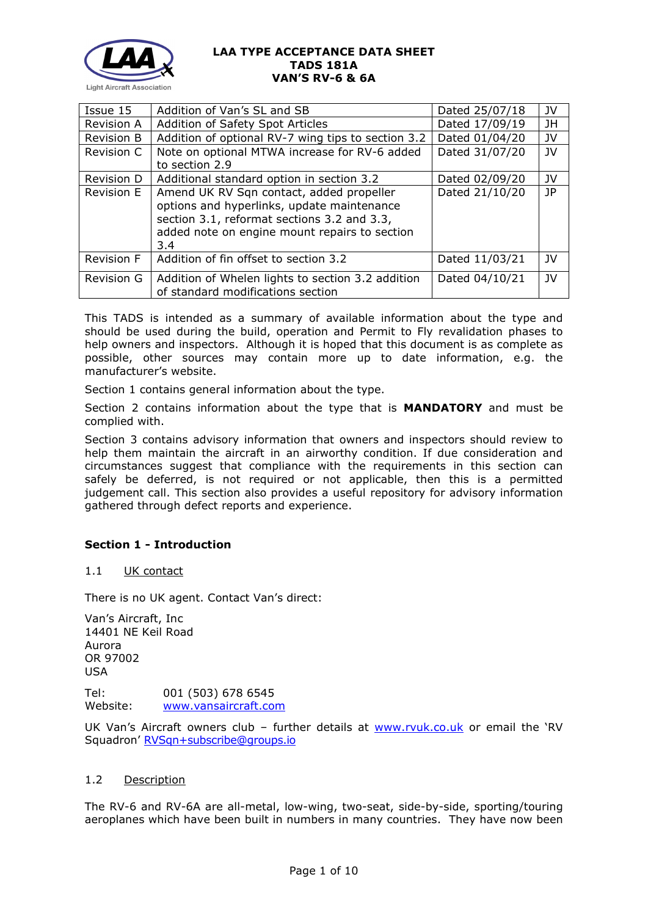

| Issue 15          | Addition of Van's SL and SB                                                                                                                                                                   | Dated 25/07/18 | JV           |
|-------------------|-----------------------------------------------------------------------------------------------------------------------------------------------------------------------------------------------|----------------|--------------|
| Revision A        | Addition of Safety Spot Articles                                                                                                                                                              | Dated 17/09/19 | JH           |
| <b>Revision B</b> | Addition of optional RV-7 wing tips to section 3.2                                                                                                                                            | Dated 01/04/20 | JV           |
| <b>Revision C</b> | Note on optional MTWA increase for RV-6 added<br>to section 2.9                                                                                                                               | Dated 31/07/20 | JV           |
| Revision D        | Additional standard option in section 3.2                                                                                                                                                     | Dated 02/09/20 | JV           |
| <b>Revision E</b> | Amend UK RV Sqn contact, added propeller<br>options and hyperlinks, update maintenance<br>section 3.1, reformat sections 3.2 and 3.3,<br>added note on engine mount repairs to section<br>3.4 | Dated 21/10/20 | JP           |
| Revision F        | Addition of fin offset to section 3.2                                                                                                                                                         | Dated 11/03/21 | JV.          |
| <b>Revision G</b> | Addition of Whelen lights to section 3.2 addition<br>of standard modifications section                                                                                                        | Dated 04/10/21 | $\mathsf{v}$ |

This TADS is intended as a summary of available information about the type and should be used during the build, operation and Permit to Fly revalidation phases to help owners and inspectors. Although it is hoped that this document is as complete as possible, other sources may contain more up to date information, e.g. the manufacturer's website.

Section 1 contains general information about the type.

Section 2 contains information about the type that is **MANDATORY** and must be complied with.

Section 3 contains advisory information that owners and inspectors should review to help them maintain the aircraft in an airworthy condition. If due consideration and circumstances suggest that compliance with the requirements in this section can safely be deferred, is not required or not applicable, then this is a permitted judgement call. This section also provides a useful repository for advisory information gathered through defect reports and experience.

## **Section 1 - Introduction**

## 1.1 UK contact

There is no UK agent. Contact Van's direct:

Van's Aircraft, Inc 14401 NE Keil Road Aurora OR 97002 USA

Tel: 001 (503) 678 6545 Website: [www.vansaircraft.com](http://www.vansaircraft.com/)

UK Van's Aircraft owners club – further details at [www.rvuk.co.uk](http://www.rvuk.co.uk/) or email the 'RV Squadron' [RVSqn+subscribe@groups.io](mailto:RVSqn+subscribe@groups.io)

### 1.2 Description

The RV-6 and RV-6A are all-metal, low-wing, two-seat, side-by-side, sporting/touring aeroplanes which have been built in numbers in many countries. They have now been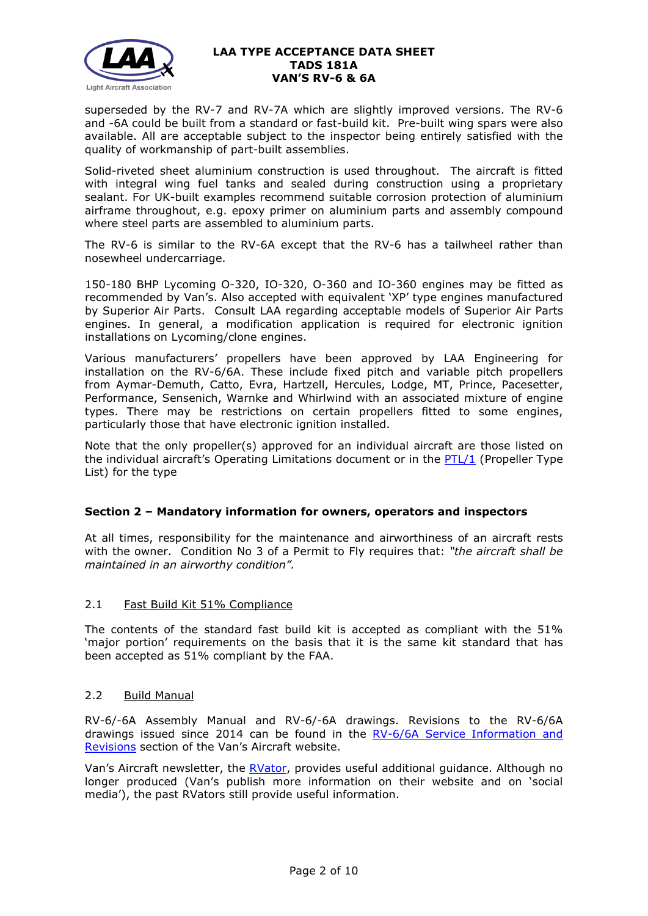

superseded by the RV-7 and RV-7A which are slightly improved versions. The RV-6 and -6A could be built from a standard or fast-build kit. Pre-built wing spars were also available. All are acceptable subject to the inspector being entirely satisfied with the quality of workmanship of part-built assemblies.

Solid-riveted sheet aluminium construction is used throughout. The aircraft is fitted with integral wing fuel tanks and sealed during construction using a proprietary sealant. For UK-built examples recommend suitable corrosion protection of aluminium airframe throughout, e.g. epoxy primer on aluminium parts and assembly compound where steel parts are assembled to aluminium parts.

The RV-6 is similar to the RV-6A except that the RV-6 has a tailwheel rather than nosewheel undercarriage.

150-180 BHP Lycoming O-320, IO-320, O-360 and IO-360 engines may be fitted as recommended by Van's. Also accepted with equivalent 'XP' type engines manufactured by Superior Air Parts. Consult LAA regarding acceptable models of Superior Air Parts engines. In general, a modification application is required for electronic ignition installations on Lycoming/clone engines.

Various manufacturers' propellers have been approved by LAA Engineering for installation on the RV-6/6A. These include fixed pitch and variable pitch propellers from Aymar-Demuth, Catto, Evra, Hartzell, Hercules, Lodge, MT, Prince, Pacesetter, Performance, Sensenich, Warnke and Whirlwind with an associated mixture of engine types. There may be restrictions on certain propellers fitted to some engines, particularly those that have electronic ignition installed.

Note that the only propeller(s) approved for an individual aircraft are those listed on the individual aircraft's Operating Limitations document or in the [PTL/1](http://www.lightaircraftassociation.co.uk/engineering/NewMods/PTL.html) (Propeller Type List) for the type

## **Section 2 – Mandatory information for owners, operators and inspectors**

At all times, responsibility for the maintenance and airworthiness of an aircraft rests with the owner. Condition No 3 of a Permit to Fly requires that: *"the aircraft shall be maintained in an airworthy condition".* 

## 2.1 Fast Build Kit 51% Compliance

The contents of the standard fast build kit is accepted as compliant with the 51% 'major portion' requirements on the basis that it is the same kit standard that has been accepted as 51% compliant by the FAA.

## 2.2 Build Manual

RV-6/-6A Assembly Manual and RV-6/-6A drawings. Revisions to the RV-6/6A drawings issued since 2014 can be found in the [RV-6/6A Service Information and](https://www.vansaircraft.com/service-information-and-revisions/?aircraft=rv-6&doctype=revisions-changes&sort=date)  [Revisions](https://www.vansaircraft.com/service-information-and-revisions/?aircraft=rv-6&doctype=revisions-changes&sort=date) section of the Van's Aircraft website.

Van's Aircraft newsletter, the [RVator,](https://www.vansaircraft.com/rvator/) provides useful additional guidance. Although no longer produced (Van's publish more information on their website and on 'social media'), the past RVators still provide useful information.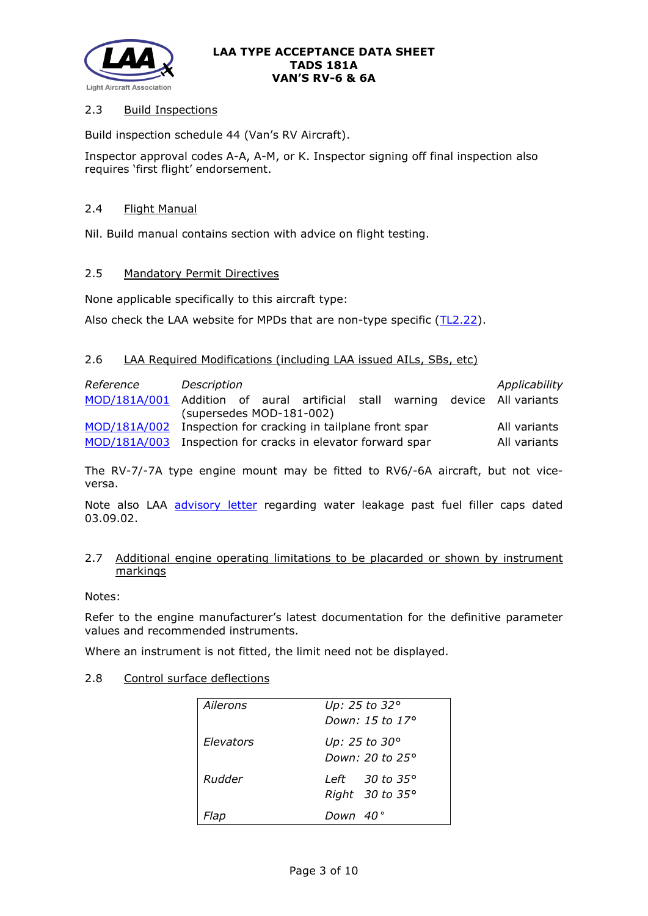

# 2.3 Build Inspections

Build inspection schedule 44 (Van's RV Aircraft).

Inspector approval codes A-A, A-M, or K. Inspector signing off final inspection also requires 'first flight' endorsement.

## 2.4 Flight Manual

Nil. Build manual contains section with advice on flight testing.

## 2.5 Mandatory Permit Directives

None applicable specifically to this aircraft type:

Also check the LAA website for MPDs that are non-type specific [\(TL2.22\)](http://www.lightaircraftassociation.co.uk/engineering/TechnicalLeaflets/Operating%20An%20Aircraft/TL%202.22%20non-type%20specific%20MPDs.pdf).

# 2.6 LAA Required Modifications (including LAA issued AILs, SBs, etc)

| Reference                                                    | Description              |  |  |  | Applicability                     |
|--------------------------------------------------------------|--------------------------|--|--|--|-----------------------------------|
| MOD/181A/001 Addition of aural artificial                    |                          |  |  |  | stall warning device All-variants |
|                                                              | (supersedes MOD-181-002) |  |  |  |                                   |
| MOD/181A/002 Inspection for cracking in tailplane front spar |                          |  |  |  | All variants                      |
| MOD/181A/003 Inspection for cracks in elevator forward spar  |                          |  |  |  | All variants                      |

The RV-7/-7A type engine mount may be fitted to RV6/-6A aircraft, but not viceversa.

Note also LAA [advisory letter](http://www.lightaircraftassociation.co.uk/engineering/TADs/181A/VANS%20FILLER%20CAPS.pdf) regarding water leakage past fuel filler caps dated 03.09.02.

### 2.7 Additional engine operating limitations to be placarded or shown by instrument markings

Notes:

Refer to the engine manufacturer's latest documentation for the definitive parameter values and recommended instruments.

Where an instrument is not fitted, the limit need not be displayed.

## 2.8 Control surface deflections

| Ailerons         | Up: 25 to 32°<br>Down: 15 to 17°           |
|------------------|--------------------------------------------|
| <b>Elevators</b> | Up: 25 to 30°<br>Down: 20 to 25°           |
| Rudder           | Left 30 to 35°<br>Right $30$ to $35^\circ$ |
| Flan             | Down 40°                                   |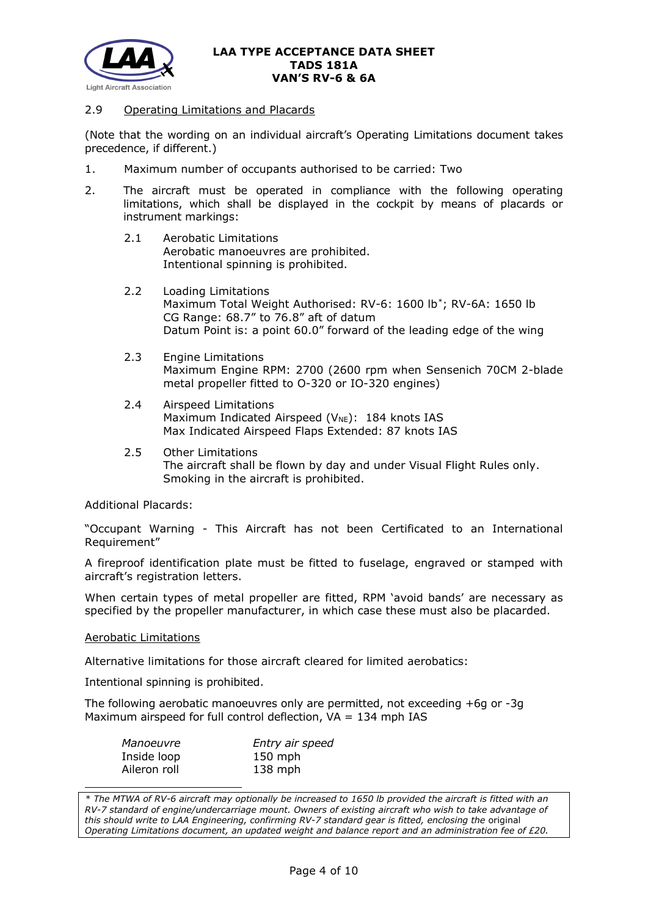

## 2.9 Operating Limitations and Placards

(Note that the wording on an individual aircraft's Operating Limitations document takes precedence, if different.)

- 1. Maximum number of occupants authorised to be carried: Two
- 2. The aircraft must be operated in compliance with the following operating limitations, which shall be displayed in the cockpit by means of placards or instrument markings:
	- 2.1 Aerobatic Limitations Aerobatic manoeuvres are prohibited. Intentional spinning is prohibited.
	- 2.2 Loading Limitations Maximum Total Weight Authorised: RV-6: 1600 lb[\\*;](#page-3-0) RV-6A: 1650 lb CG Range: 68.7" to 76.8" aft of datum Datum Point is: a point 60.0" forward of the leading edge of the wing
	- 2.3 Engine Limitations Maximum Engine RPM: 2700 (2600 rpm when Sensenich 70CM 2-blade metal propeller fitted to O-320 or IO-320 engines)
	- 2.4 Airspeed Limitations Maximum Indicated Airspeed ( $V_{NE}$ ): 184 knots IAS Max Indicated Airspeed Flaps Extended: 87 knots IAS
	- 2.5 Other Limitations The aircraft shall be flown by day and under Visual Flight Rules only. Smoking in the aircraft is prohibited.

Additional Placards:

"Occupant Warning - This Aircraft has not been Certificated to an International Requirement"

A fireproof identification plate must be fitted to fuselage, engraved or stamped with aircraft's registration letters.

When certain types of metal propeller are fitted, RPM 'avoid bands' are necessary as specified by the propeller manufacturer, in which case these must also be placarded.

#### Aerobatic Limitations

Alternative limitations for those aircraft cleared for limited aerobatics:

Intentional spinning is prohibited.

The following aerobatic manoeuvres only are permitted, not exceeding +6g or -3g Maximum airspeed for full control deflection,  $VA = 134$  mph IAS

| Manoeuvre    | Entry air speed |
|--------------|-----------------|
| Inside loop  | $150$ mph       |
| Aileron roll | $138$ mph       |

<span id="page-3-0"></span>*\* The MTWA of RV-6 aircraft may optionally be increased to 1650 lb provided the aircraft is fitted with an RV-7 standard of engine/undercarriage mount. Owners of existing aircraft who wish to take advantage of this should write to LAA Engineering, confirming RV-7 standard gear is fitted, enclosing the* original *Operating Limitations document, an updated weight and balance report and an administration fee of £20.*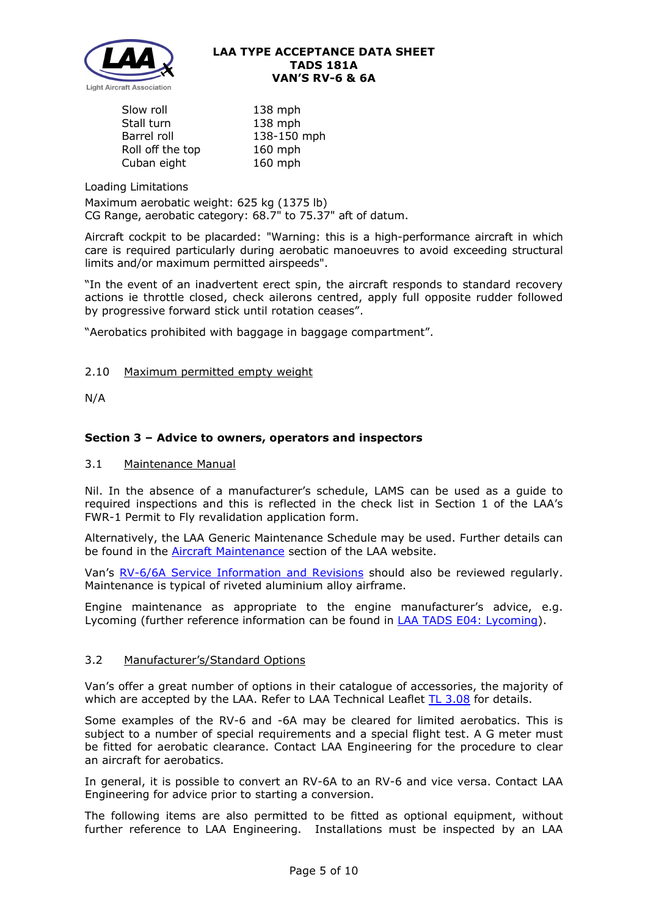

| Slow roll        | 138 mph     |
|------------------|-------------|
| Stall turn       | 138 mph     |
| Barrel roll      | 138-150 mph |
| Roll off the top | 160 mph     |
| Cuban eight      | 160 mph     |

Loading Limitations

Maximum aerobatic weight: 625 kg (1375 lb) CG Range, aerobatic category: 68.7" to 75.37" aft of datum.

Aircraft cockpit to be placarded: "Warning: this is a high-performance aircraft in which care is required particularly during aerobatic manoeuvres to avoid exceeding structural limits and/or maximum permitted airspeeds".

"In the event of an inadvertent erect spin, the aircraft responds to standard recovery actions ie throttle closed, check ailerons centred, apply full opposite rudder followed by progressive forward stick until rotation ceases".

"Aerobatics prohibited with baggage in baggage compartment".

# 2.10 Maximum permitted empty weight

N/A

# **Section 3 – Advice to owners, operators and inspectors**

## 3.1 Maintenance Manual

Nil. In the absence of a manufacturer's schedule, LAMS can be used as a guide to required inspections and this is reflected in the check list in Section 1 of the LAA's FWR-1 Permit to Fly revalidation application form.

Alternatively, the LAA Generic Maintenance Schedule may be used. Further details can be found in the **Aircraft Maintenance** section of the LAA website.

Van's [RV-6/6A Service Information and Revisions](https://www.vansaircraft.com/service-information-and-revisions/?aircraft=rv-6&doctype=all&sort=date) should also be reviewed regularly. Maintenance is typical of riveted aluminium alloy airframe.

Engine maintenance as appropriate to the engine manufacturer's advice, e.g. Lycoming (further reference information can be found in [LAA TADS E04: Lycoming\)](http://www.lightaircraftassociation.co.uk/engineering/TADs/E04%20LYCOMING.pdf).

## 3.2 Manufacturer's/Standard Options

Van's offer a great number of options in their catalogue of accessories, the majority of which are accepted by the LAA. Refer to LAA Technical Leaflet [TL 3.08](http://www.lightaircraftassociation.co.uk/engineering/TechnicalLeaflets/Mods%20and%20Repairs/TL%203.08%20Manufacturers%20Options%20for%20Vans%20Aircraft.pdf) for details.

Some examples of the RV-6 and -6A may be cleared for limited aerobatics. This is subject to a number of special requirements and a special flight test. A G meter must be fitted for aerobatic clearance. Contact LAA Engineering for the procedure to clear an aircraft for aerobatics.

In general, it is possible to convert an RV-6A to an RV-6 and vice versa. Contact LAA Engineering for advice prior to starting a conversion.

The following items are also permitted to be fitted as optional equipment, without further reference to LAA Engineering. Installations must be inspected by an LAA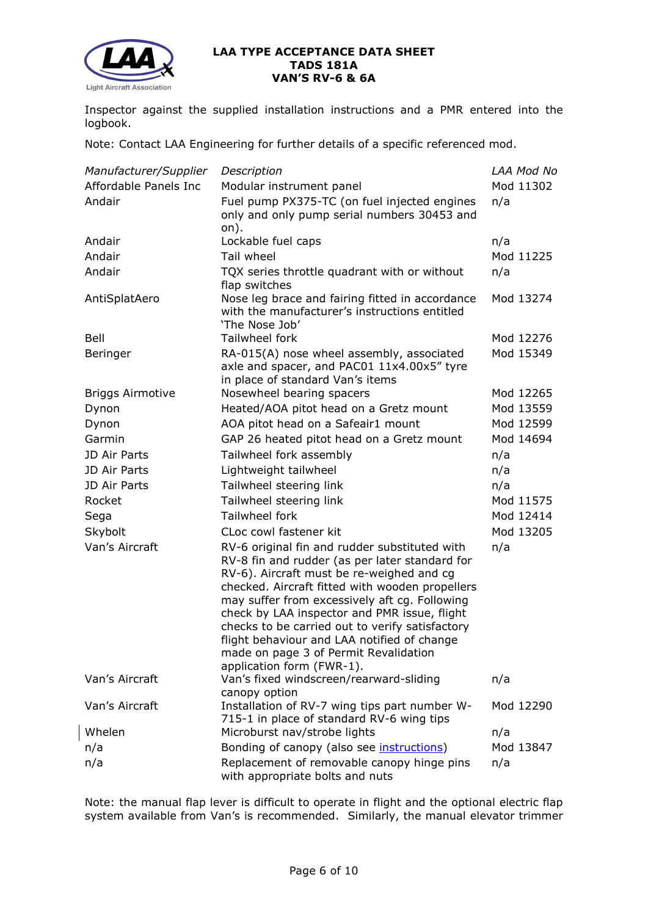

Inspector against the supplied installation instructions and a PMR entered into the logbook.

Note: Contact LAA Engineering for further details of a specific referenced mod.

| Manufacturer/Supplier   | Description                                                                                                                                                                                                                                                                                                                                                                                                                                                              | LAA Mod No |
|-------------------------|--------------------------------------------------------------------------------------------------------------------------------------------------------------------------------------------------------------------------------------------------------------------------------------------------------------------------------------------------------------------------------------------------------------------------------------------------------------------------|------------|
| Affordable Panels Inc   | Modular instrument panel                                                                                                                                                                                                                                                                                                                                                                                                                                                 |            |
| Andair                  | Fuel pump PX375-TC (on fuel injected engines<br>only and only pump serial numbers 30453 and                                                                                                                                                                                                                                                                                                                                                                              | n/a        |
| Andair                  | on).<br>Lockable fuel caps                                                                                                                                                                                                                                                                                                                                                                                                                                               | n/a        |
| Andair                  | Tail wheel                                                                                                                                                                                                                                                                                                                                                                                                                                                               | Mod 11225  |
| Andair                  | TQX series throttle quadrant with or without<br>flap switches                                                                                                                                                                                                                                                                                                                                                                                                            | n/a        |
| AntiSplatAero           | Nose leg brace and fairing fitted in accordance<br>with the manufacturer's instructions entitled<br>'The Nose Job'                                                                                                                                                                                                                                                                                                                                                       | Mod 13274  |
| Bell                    | Tailwheel fork                                                                                                                                                                                                                                                                                                                                                                                                                                                           | Mod 12276  |
| Beringer                | RA-015(A) nose wheel assembly, associated<br>axle and spacer, and PAC01 11x4.00x5" tyre<br>in place of standard Van's items                                                                                                                                                                                                                                                                                                                                              | Mod 15349  |
| <b>Briggs Airmotive</b> | Nosewheel bearing spacers                                                                                                                                                                                                                                                                                                                                                                                                                                                | Mod 12265  |
| Dynon                   | Heated/AOA pitot head on a Gretz mount                                                                                                                                                                                                                                                                                                                                                                                                                                   | Mod 13559  |
| Dynon                   | AOA pitot head on a Safeair1 mount                                                                                                                                                                                                                                                                                                                                                                                                                                       | Mod 12599  |
| Garmin                  | GAP 26 heated pitot head on a Gretz mount                                                                                                                                                                                                                                                                                                                                                                                                                                | Mod 14694  |
| JD Air Parts            | Tailwheel fork assembly                                                                                                                                                                                                                                                                                                                                                                                                                                                  | n/a        |
| JD Air Parts            | Lightweight tailwheel                                                                                                                                                                                                                                                                                                                                                                                                                                                    | n/a        |
| JD Air Parts            | Tailwheel steering link                                                                                                                                                                                                                                                                                                                                                                                                                                                  | n/a        |
| Rocket                  | Tailwheel steering link                                                                                                                                                                                                                                                                                                                                                                                                                                                  | Mod 11575  |
| Sega                    | Tailwheel fork                                                                                                                                                                                                                                                                                                                                                                                                                                                           | Mod 12414  |
| Skybolt                 | CLoc cowl fastener kit                                                                                                                                                                                                                                                                                                                                                                                                                                                   | Mod 13205  |
| Van's Aircraft          | RV-6 original fin and rudder substituted with<br>RV-8 fin and rudder (as per later standard for<br>RV-6). Aircraft must be re-weighed and cg<br>checked. Aircraft fitted with wooden propellers<br>may suffer from excessively aft cg. Following<br>check by LAA inspector and PMR issue, flight<br>checks to be carried out to verify satisfactory<br>flight behaviour and LAA notified of change<br>made on page 3 of Permit Revalidation<br>application form (FWR-1). | n/a        |
| Van's Aircraft          | Van's fixed windscreen/rearward-sliding<br>canopy option                                                                                                                                                                                                                                                                                                                                                                                                                 | n/a        |
| Van's Aircraft          | Installation of RV-7 wing tips part number W-<br>715-1 in place of standard RV-6 wing tips                                                                                                                                                                                                                                                                                                                                                                               | Mod 12290  |
| Whelen                  | Microburst nav/strobe lights                                                                                                                                                                                                                                                                                                                                                                                                                                             | n/a        |
| n/a                     | Bonding of canopy (also see <i>instructions</i> )                                                                                                                                                                                                                                                                                                                                                                                                                        | Mod 13847  |
| n/a                     | Replacement of removable canopy hinge pins<br>with appropriate bolts and nuts                                                                                                                                                                                                                                                                                                                                                                                            | n/a        |

Note: the manual flap lever is difficult to operate in flight and the optional electric flap system available from Van's is recommended. Similarly, the manual elevator trimmer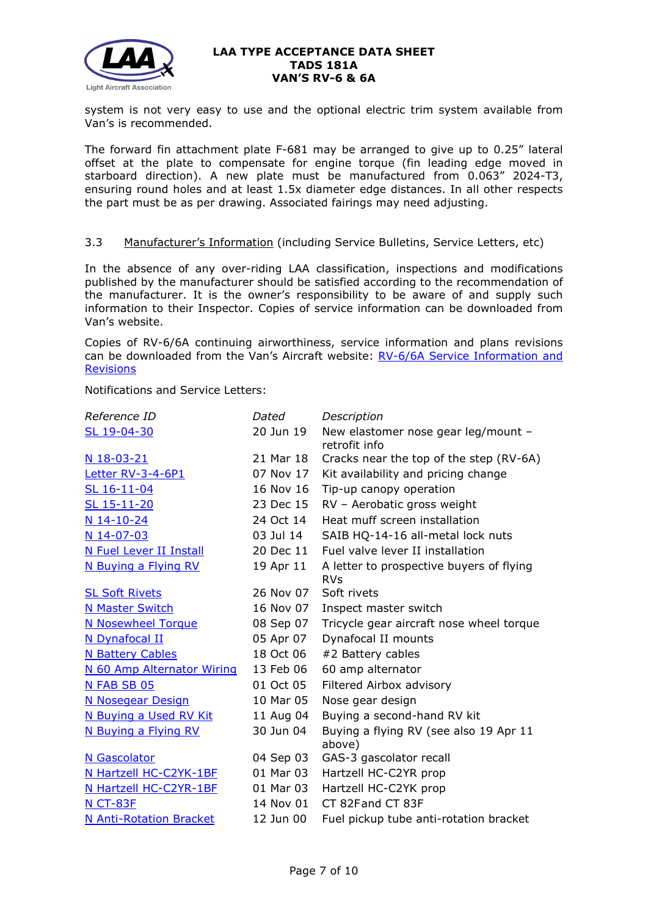

system is not very easy to use and the optional electric trim system available from Van's is recommended.

The forward fin attachment plate F-681 may be arranged to give up to 0.25" lateral offset at the plate to compensate for engine torque (fin leading edge moved in starboard direction). A new plate must be manufactured from 0.063" 2024-T3, ensuring round holes and at least 1.5x diameter edge distances. In all other respects the part must be as per drawing. Associated fairings may need adjusting.

## 3.3 Manufacturer's Information (including Service Bulletins, Service Letters, etc)

In the absence of any over-riding LAA classification, inspections and modifications published by the manufacturer should be satisfied according to the recommendation of the manufacturer. It is the owner's responsibility to be aware of and supply such information to their Inspector. Copies of service information can be downloaded from Van's website.

Copies of RV-6/6A continuing airworthiness, service information and plans revisions can be downloaded from the Van's Aircraft website: [RV-6/6A Service Information and](https://www.vansaircraft.com/service-information-and-revisions/?aircraft=rv-6&doctype=all&sort=date)  **[Revisions](https://www.vansaircraft.com/service-information-and-revisions/?aircraft=rv-6&doctype=all&sort=date)** 

Notifications and Service Letters:

| Dated     | Description                                            |
|-----------|--------------------------------------------------------|
| 20 Jun 19 | New elastomer nose gear leg/mount -<br>retrofit info   |
| 21 Mar 18 | Cracks near the top of the step (RV-6A)                |
| 07 Nov 17 | Kit availability and pricing change                    |
| 16 Nov 16 | Tip-up canopy operation                                |
| 23 Dec 15 | RV - Aerobatic gross weight                            |
| 24 Oct 14 | Heat muff screen installation                          |
| 03 Jul 14 | SAIB HQ-14-16 all-metal lock nuts                      |
| 20 Dec 11 | Fuel valve lever II installation                       |
| 19 Apr 11 | A letter to prospective buyers of flying<br><b>RVs</b> |
| 26 Nov 07 | Soft rivets                                            |
| 16 Nov 07 | Inspect master switch                                  |
| 08 Sep 07 | Tricycle gear aircraft nose wheel torque               |
| 05 Apr 07 | Dynafocal II mounts                                    |
| 18 Oct 06 | #2 Battery cables                                      |
| 13 Feb 06 | 60 amp alternator                                      |
| 01 Oct 05 | Filtered Airbox advisory                               |
| 10 Mar 05 | Nose gear design                                       |
| 11 Aug 04 | Buying a second-hand RV kit                            |
| 30 Jun 04 | Buying a flying RV (see also 19 Apr 11<br>above)       |
| 04 Sep 03 | GAS-3 gascolator recall                                |
| 01 Mar 03 | Hartzell HC-C2YR prop                                  |
| 01 Mar 03 | Hartzell HC-C2YK prop                                  |
| 14 Nov 01 | CT 82Fand CT 83F                                       |
| 12 Jun 00 | Fuel pickup tube anti-rotation bracket                 |
|           |                                                        |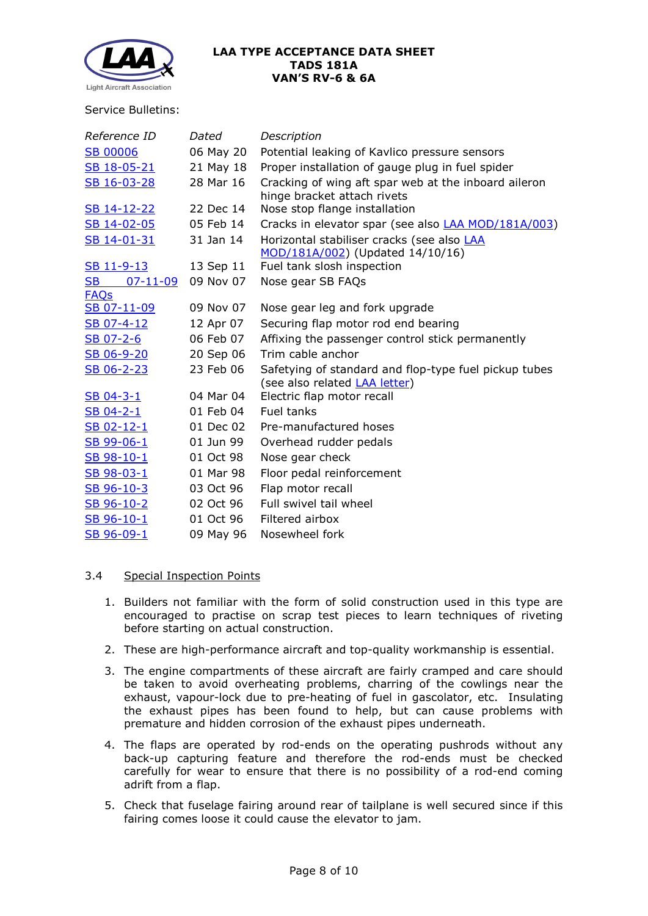

#### Service Bulletins:

| Reference ID         | Dated     | Description                                                                                    |
|----------------------|-----------|------------------------------------------------------------------------------------------------|
| <b>SB 00006</b>      | 06 May 20 | Potential leaking of Kavlico pressure sensors                                                  |
| SB 18-05-21          | 21 May 18 | Proper installation of gauge plug in fuel spider                                               |
| SB 16-03-28          | 28 Mar 16 | Cracking of wing aft spar web at the inboard aileron                                           |
| SB 14-12-22          | 22 Dec 14 | hinge bracket attach rivets<br>Nose stop flange installation                                   |
| SB 14-02-05          | 05 Feb 14 |                                                                                                |
|                      |           | Cracks in elevator spar (see also <b>LAA MOD/181A/003)</b>                                     |
| SB 14-01-31          | 31 Jan 14 | Horizontal stabiliser cracks (see also LAA<br>MOD/181A/002) (Updated 14/10/16)                 |
| SB 11-9-13           | 13 Sep 11 | Fuel tank slosh inspection                                                                     |
| SB<br>$07 - 11 - 09$ | 09 Nov 07 | Nose gear SB FAQs                                                                              |
| <b>FAQs</b>          |           |                                                                                                |
| SB 07-11-09          | 09 Nov 07 | Nose gear leg and fork upgrade                                                                 |
| SB 07-4-12           | 12 Apr 07 | Securing flap motor rod end bearing                                                            |
| SB 07-2-6            | 06 Feb 07 | Affixing the passenger control stick permanently                                               |
| SB 06-9-20           | 20 Sep 06 | Trim cable anchor                                                                              |
| SB 06-2-23           | 23 Feb 06 | Safetying of standard and flop-type fuel pickup tubes<br>(see also related <b>LAA letter</b> ) |
| $SB$ 04-3-1          | 04 Mar 04 | Electric flap motor recall                                                                     |
| $SB$ 04-2-1          | 01 Feb 04 | Fuel tanks                                                                                     |
| SB 02-12-1           | 01 Dec 02 | Pre-manufactured hoses                                                                         |
| SB 99-06-1           | 01 Jun 99 | Overhead rudder pedals                                                                         |
| SB 98-10-1           | 01 Oct 98 | Nose gear check                                                                                |
| SB 98-03-1           | 01 Mar 98 | Floor pedal reinforcement                                                                      |
| SB 96-10-3           | 03 Oct 96 | Flap motor recall                                                                              |
| SB 96-10-2           | 02 Oct 96 | Full swivel tail wheel                                                                         |
| SB 96-10-1           | 01 Oct 96 | Filtered airbox                                                                                |
| SB 96-09-1           | 09 May 96 | Nosewheel fork                                                                                 |

## 3.4 Special Inspection Points

- 1. Builders not familiar with the form of solid construction used in this type are encouraged to practise on scrap test pieces to learn techniques of riveting before starting on actual construction.
- 2. These are high-performance aircraft and top-quality workmanship is essential.
- 3. The engine compartments of these aircraft are fairly cramped and care should be taken to avoid overheating problems, charring of the cowlings near the exhaust, vapour-lock due to pre-heating of fuel in gascolator, etc. Insulating the exhaust pipes has been found to help, but can cause problems with premature and hidden corrosion of the exhaust pipes underneath.
- 4. The flaps are operated by rod-ends on the operating pushrods without any back-up capturing feature and therefore the rod-ends must be checked carefully for wear to ensure that there is no possibility of a rod-end coming adrift from a flap.
- 5. Check that fuselage fairing around rear of tailplane is well secured since if this fairing comes loose it could cause the elevator to jam.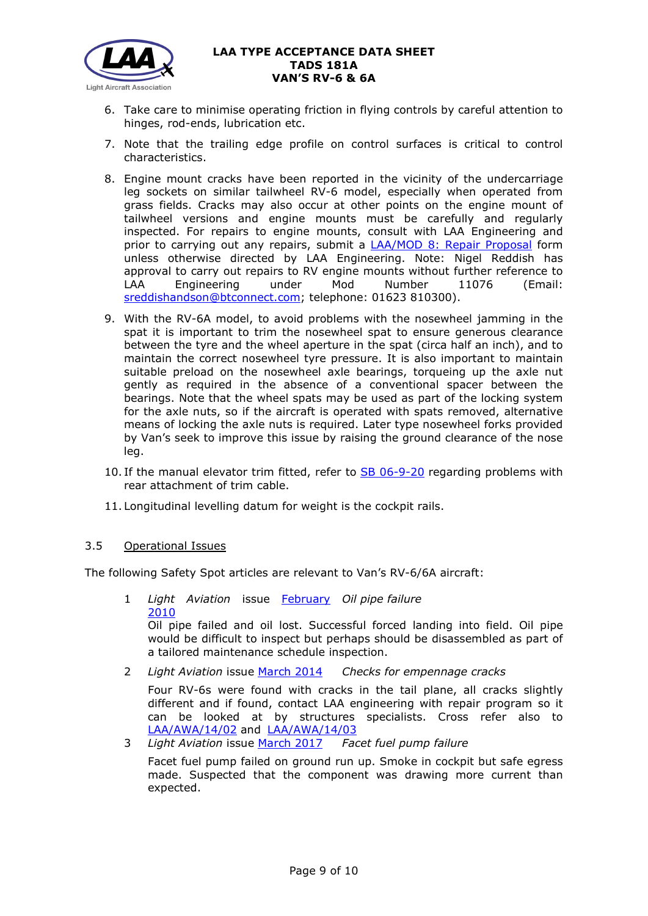

- 6. Take care to minimise operating friction in flying controls by careful attention to hinges, rod-ends, lubrication etc.
- 7. Note that the trailing edge profile on control surfaces is critical to control characteristics.
- 8. Engine mount cracks have been reported in the vicinity of the undercarriage leg sockets on similar tailwheel RV-6 model, especially when operated from grass fields. Cracks may also occur at other points on the engine mount of tailwheel versions and engine mounts must be carefully and regularly inspected. For repairs to engine mounts, consult with LAA Engineering and prior to carrying out any repairs, submit a **[LAA/MOD 8: Repair Proposal](http://www.lightaircraftassociation.co.uk/engineering/StandardForms/LAA-MOD%208%20-%20Repair.pdf)** form unless otherwise directed by LAA Engineering. Note: Nigel Reddish has approval to carry out repairs to RV engine mounts without further reference to LAA Engineering under Mod Number 11076 (Email: [sreddishandson@btconnect.com;](mailto:sreddishandson@btconnect.com) telephone: 01623 810300).
- 9. With the RV-6A model, to avoid problems with the nosewheel jamming in the spat it is important to trim the nosewheel spat to ensure generous clearance between the tyre and the wheel aperture in the spat (circa half an inch), and to maintain the correct nosewheel tyre pressure. It is also important to maintain suitable preload on the nosewheel axle bearings, torqueing up the axle nut gently as required in the absence of a conventional spacer between the bearings. Note that the wheel spats may be used as part of the locking system for the axle nuts, so if the aircraft is operated with spats removed, alternative means of locking the axle nuts is required. Later type nosewheel forks provided by Van's seek to improve this issue by raising the ground clearance of the nose leg.
- 10. If the manual elevator trim fitted, refer to [SB 06-9-20](http://www.lightaircraftassociation.co.uk/engineering/TADs/181A/sb06-9-20.pdf) regarding problems with rear attachment of trim cable.
- 11. Longitudinal levelling datum for weight is the cockpit rails.

## 3.5 Operational Issues

The following Safety Spot articles are relevant to Van's RV-6/6A aircraft:

- 1 *Light Aviation* issue [February](http://www.lightaircraftassociation.co.uk/2010/Magazine/Feb/Safety_Spot_Feb_10.pdf)  *Oil pipe failure* [2010](http://www.lightaircraftassociation.co.uk/2010/Magazine/Feb/Safety_Spot_Feb_10.pdf) Oil pipe failed and oil lost. Successful forced landing into field. Oil pipe would be difficult to inspect but perhaps should be disassembled as part of a tailored maintenance schedule inspection.
- 2 *Light Aviation* issue [March 2014](http://www.lightaircraftassociation.co.uk/2014/Mag/Mar/safetyspot_mar.pdf) *Checks for empennage cracks*

Four RV-6s were found with cracks in the tail plane, all cracks slightly different and if found, contact LAA engineering with repair program so it can be looked at by structures specialists. Cross refer also to [LAA/AWA/14/02](http://www.lightaircraftassociation.co.uk/MM/LAA%20AWA%2014%2002.pdf) and [LAA/AWA/14/03](http://www.lightaircraftassociation.co.uk/MM/LAA%20AWA%2014%2003.pdf)

3 *Light Aviation* issue [March 2017](http://www.lightaircraftassociation.co.uk/2017/Magazine/Mar/safety_spot.pdf) *Facet fuel pump failure*

Facet fuel pump failed on ground run up. Smoke in cockpit but safe egress made. Suspected that the component was drawing more current than expected.